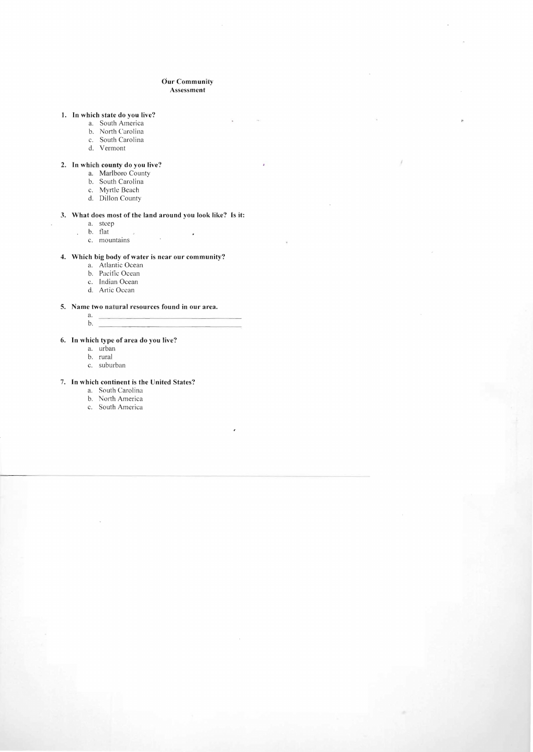### **Our Community Assessment**

 $\mathbf{r}$ 

s.

 $\pmb{\cdot}$ 

 $\lambda$ 

#### **1. In which state do you live?**

- a. South America
- b. North Carolina
- c. South Carolina
- d. Vermont

### **2. In which county do you live?**

- a. Marlboro County
- b. South Carolina
- c. Myrtle Beach
- d. Dillon County

### **3. \Vhat does most of the land around you look like? Is it:**

 $\sim$  0.000  $^{\circ}$ 

a. steep

 $\mathbf{r}$ 

- b. tlat  $\mathcal{L}$
- c. mountains

#### **4. \Vhich big body** of water **is ncar our community?**

- a. Atlantic Ocean
- b. Pacific Ocean
- c. Indian Ocean
- d. Artic Ocean

### **5. Name two natural resources found in our area.**

a. b.

# **6. In which type of area do you live?**

- a. urban
- b. rural
- c. suburban

### **7. In which continent is the United States?**

- a. South Carolina
- b. North America
- c. South America